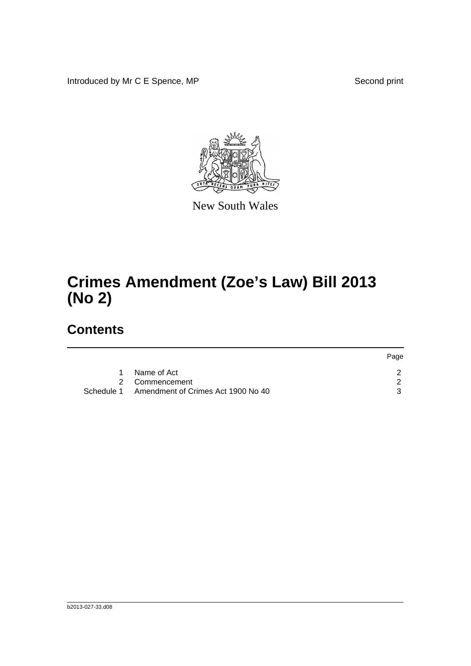Introduced by Mr C E Spence, MP Second print



New South Wales

## **Crimes Amendment (Zoe's Law) Bill 2013 (No 2)**

## **Contents**

|                                    | Page                           |
|------------------------------------|--------------------------------|
| Name of Act                        |                                |
|                                    |                                |
| Amendment of Crimes Act 1900 No 40 |                                |
|                                    | 2 Commencement<br>- Schedule 1 |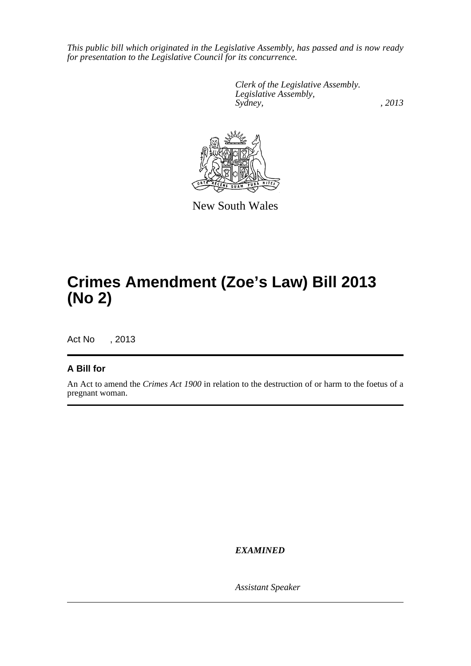*This public bill which originated in the Legislative Assembly, has passed and is now ready for presentation to the Legislative Council for its concurrence.*

> *Clerk of the Legislative Assembly. Legislative Assembly, Sydney, , 2013*



New South Wales

## **Crimes Amendment (Zoe's Law) Bill 2013 (No 2)**

Act No , 2013

## **A Bill for**

An Act to amend the *Crimes Act 1900* in relation to the destruction of or harm to the foetus of a pregnant woman.

*EXAMINED*

*Assistant Speaker*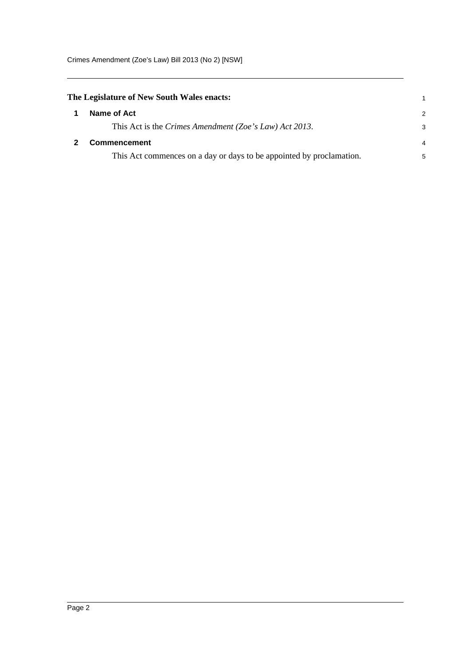<span id="page-2-1"></span><span id="page-2-0"></span>

| The Legislature of New South Wales enacts:                           | 1             |
|----------------------------------------------------------------------|---------------|
| Name of Act                                                          | $\mathcal{P}$ |
| This Act is the Crimes Amendment (Zoe's Law) Act 2013.               | 3             |
| <b>Commencement</b>                                                  |               |
| This Act commences on a day or days to be appointed by proclamation. | 5             |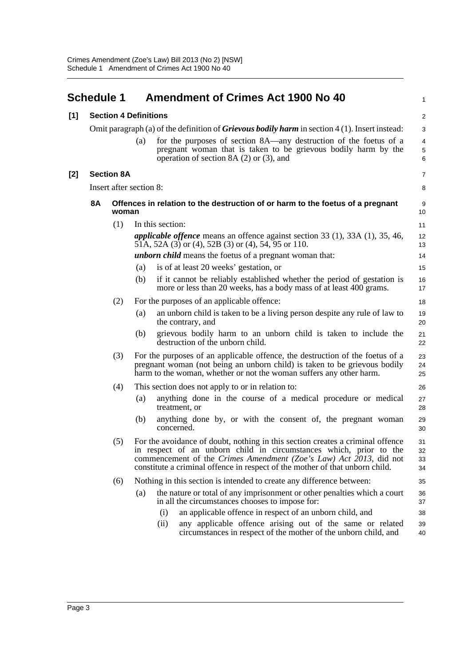<span id="page-3-0"></span>

|                              |     |                   |                                                                                                                                                                                     | 1                                                                                                                                                                                                                                                                                                                                                                                                                                                                                                                                                                                                                                                                                                                                                                                                                                                                                                                                                                                                                                                                                                                                                                                                                                                                                                                                                               |
|------------------------------|-----|-------------------|-------------------------------------------------------------------------------------------------------------------------------------------------------------------------------------|-----------------------------------------------------------------------------------------------------------------------------------------------------------------------------------------------------------------------------------------------------------------------------------------------------------------------------------------------------------------------------------------------------------------------------------------------------------------------------------------------------------------------------------------------------------------------------------------------------------------------------------------------------------------------------------------------------------------------------------------------------------------------------------------------------------------------------------------------------------------------------------------------------------------------------------------------------------------------------------------------------------------------------------------------------------------------------------------------------------------------------------------------------------------------------------------------------------------------------------------------------------------------------------------------------------------------------------------------------------------|
| <b>Section 4 Definitions</b> |     |                   |                                                                                                                                                                                     | $\overline{\mathbf{c}}$                                                                                                                                                                                                                                                                                                                                                                                                                                                                                                                                                                                                                                                                                                                                                                                                                                                                                                                                                                                                                                                                                                                                                                                                                                                                                                                                         |
|                              |     |                   |                                                                                                                                                                                     | 3                                                                                                                                                                                                                                                                                                                                                                                                                                                                                                                                                                                                                                                                                                                                                                                                                                                                                                                                                                                                                                                                                                                                                                                                                                                                                                                                                               |
|                              |     | (a)               | for the purposes of section 8A—any destruction of the foetus of a<br>pregnant woman that is taken to be grievous bodily harm by the<br>operation of section 8A $(2)$ or $(3)$ , and | 4<br>5<br>6                                                                                                                                                                                                                                                                                                                                                                                                                                                                                                                                                                                                                                                                                                                                                                                                                                                                                                                                                                                                                                                                                                                                                                                                                                                                                                                                                     |
|                              |     |                   |                                                                                                                                                                                     | 7                                                                                                                                                                                                                                                                                                                                                                                                                                                                                                                                                                                                                                                                                                                                                                                                                                                                                                                                                                                                                                                                                                                                                                                                                                                                                                                                                               |
|                              |     |                   |                                                                                                                                                                                     | 8                                                                                                                                                                                                                                                                                                                                                                                                                                                                                                                                                                                                                                                                                                                                                                                                                                                                                                                                                                                                                                                                                                                                                                                                                                                                                                                                                               |
| <b>8A</b>                    |     |                   |                                                                                                                                                                                     | 9<br>10                                                                                                                                                                                                                                                                                                                                                                                                                                                                                                                                                                                                                                                                                                                                                                                                                                                                                                                                                                                                                                                                                                                                                                                                                                                                                                                                                         |
|                              | (1) |                   |                                                                                                                                                                                     | 11                                                                                                                                                                                                                                                                                                                                                                                                                                                                                                                                                                                                                                                                                                                                                                                                                                                                                                                                                                                                                                                                                                                                                                                                                                                                                                                                                              |
|                              |     |                   |                                                                                                                                                                                     | 12<br>13                                                                                                                                                                                                                                                                                                                                                                                                                                                                                                                                                                                                                                                                                                                                                                                                                                                                                                                                                                                                                                                                                                                                                                                                                                                                                                                                                        |
|                              |     |                   |                                                                                                                                                                                     | 14                                                                                                                                                                                                                                                                                                                                                                                                                                                                                                                                                                                                                                                                                                                                                                                                                                                                                                                                                                                                                                                                                                                                                                                                                                                                                                                                                              |
|                              |     | (a)               |                                                                                                                                                                                     | 15                                                                                                                                                                                                                                                                                                                                                                                                                                                                                                                                                                                                                                                                                                                                                                                                                                                                                                                                                                                                                                                                                                                                                                                                                                                                                                                                                              |
|                              |     |                   | more or less than 20 weeks, has a body mass of at least 400 grams.                                                                                                                  | 16<br>17                                                                                                                                                                                                                                                                                                                                                                                                                                                                                                                                                                                                                                                                                                                                                                                                                                                                                                                                                                                                                                                                                                                                                                                                                                                                                                                                                        |
|                              | (2) |                   |                                                                                                                                                                                     | 18                                                                                                                                                                                                                                                                                                                                                                                                                                                                                                                                                                                                                                                                                                                                                                                                                                                                                                                                                                                                                                                                                                                                                                                                                                                                                                                                                              |
|                              |     | (a)               | an unborn child is taken to be a living person despite any rule of law to<br>the contrary, and                                                                                      | 19<br>20                                                                                                                                                                                                                                                                                                                                                                                                                                                                                                                                                                                                                                                                                                                                                                                                                                                                                                                                                                                                                                                                                                                                                                                                                                                                                                                                                        |
|                              |     | (b)               | grievous bodily harm to an unborn child is taken to include the<br>destruction of the unborn child.                                                                                 | 21<br>22                                                                                                                                                                                                                                                                                                                                                                                                                                                                                                                                                                                                                                                                                                                                                                                                                                                                                                                                                                                                                                                                                                                                                                                                                                                                                                                                                        |
|                              | (3) |                   |                                                                                                                                                                                     | 23<br>24<br>25                                                                                                                                                                                                                                                                                                                                                                                                                                                                                                                                                                                                                                                                                                                                                                                                                                                                                                                                                                                                                                                                                                                                                                                                                                                                                                                                                  |
|                              | (4) |                   |                                                                                                                                                                                     | 26                                                                                                                                                                                                                                                                                                                                                                                                                                                                                                                                                                                                                                                                                                                                                                                                                                                                                                                                                                                                                                                                                                                                                                                                                                                                                                                                                              |
|                              |     | (a)               | anything done in the course of a medical procedure or medical<br>treatment, or                                                                                                      | 27<br>28                                                                                                                                                                                                                                                                                                                                                                                                                                                                                                                                                                                                                                                                                                                                                                                                                                                                                                                                                                                                                                                                                                                                                                                                                                                                                                                                                        |
|                              |     | (b)               | anything done by, or with the consent of, the pregnant woman<br>concerned.                                                                                                          | 29<br>30                                                                                                                                                                                                                                                                                                                                                                                                                                                                                                                                                                                                                                                                                                                                                                                                                                                                                                                                                                                                                                                                                                                                                                                                                                                                                                                                                        |
|                              | (5) |                   |                                                                                                                                                                                     | 31<br>32<br>33<br>34                                                                                                                                                                                                                                                                                                                                                                                                                                                                                                                                                                                                                                                                                                                                                                                                                                                                                                                                                                                                                                                                                                                                                                                                                                                                                                                                            |
|                              | (6) |                   |                                                                                                                                                                                     | 35                                                                                                                                                                                                                                                                                                                                                                                                                                                                                                                                                                                                                                                                                                                                                                                                                                                                                                                                                                                                                                                                                                                                                                                                                                                                                                                                                              |
|                              |     | (a)               | the nature or total of any imprisonment or other penalties which a court<br>in all the circumstances chooses to impose for:                                                         | 36<br>37                                                                                                                                                                                                                                                                                                                                                                                                                                                                                                                                                                                                                                                                                                                                                                                                                                                                                                                                                                                                                                                                                                                                                                                                                                                                                                                                                        |
|                              |     |                   | an applicable offence in respect of an unborn child, and<br>(i)                                                                                                                     | 38                                                                                                                                                                                                                                                                                                                                                                                                                                                                                                                                                                                                                                                                                                                                                                                                                                                                                                                                                                                                                                                                                                                                                                                                                                                                                                                                                              |
|                              |     |                   | (ii)<br>any applicable offence arising out of the same or related<br>circumstances in respect of the mother of the unborn child, and                                                | 39<br>40                                                                                                                                                                                                                                                                                                                                                                                                                                                                                                                                                                                                                                                                                                                                                                                                                                                                                                                                                                                                                                                                                                                                                                                                                                                                                                                                                        |
|                              |     | <b>Schedule 1</b> | <b>Section 8A</b><br>woman<br>(b)                                                                                                                                                   | <b>Amendment of Crimes Act 1900 No 40</b><br>Omit paragraph (a) of the definition of <i>Grievous bodily harm</i> in section $4(1)$ . Insert instead:<br>Insert after section 8:<br>Offences in relation to the destruction of or harm to the foetus of a pregnant<br>In this section:<br><i>applicable offence</i> means an offence against section 33 $(1)$ , 33A $(1)$ , 35, 46,<br>51A, 52A (3) or (4), 52B (3) or (4), 54, 95 or 110.<br><i>unborn child</i> means the foetus of a pregnant woman that:<br>is of at least 20 weeks' gestation, or<br>if it cannot be reliably established whether the period of gestation is<br>For the purposes of an applicable offence:<br>For the purposes of an applicable offence, the destruction of the foetus of a<br>pregnant woman (not being an unborn child) is taken to be grievous bodily<br>harm to the woman, whether or not the woman suffers any other harm.<br>This section does not apply to or in relation to:<br>For the avoidance of doubt, nothing in this section creates a criminal offence<br>in respect of an unborn child in circumstances which, prior to the<br>commencement of the Crimes Amendment (Zoe's Law) Act 2013, did not<br>constitute a criminal offence in respect of the mother of that unborn child.<br>Nothing in this section is intended to create any difference between: |